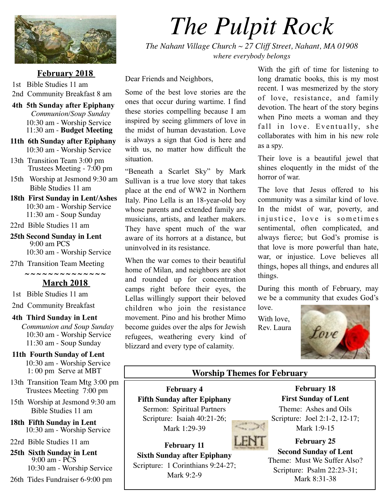

#### **February 2018**

1st Bible Studies 11 am 2nd Community Breakfast 8 am

- **4th 5th Sunday after Epiphany**  *Communion/Soup Sunday* 10:30 am - Worship Service 11:30 am - **Budget Meeting**
- **11th 6th Sunday after Epiphany** 10:30 am - Worship Service
- 13th Transition Team 3:00 pm Trustees Meeting - 7:00 pm
- 15th Worship at Jesmond 9:30 am Bible Studies 11 am
- **18th First Sunday in Lent/Ashes** 10:30 am - Worship Service 11:30 am - Soup Sunday
- 22rd Bible Studies 11 am
- **25th Second Sunday in Lent** 9:00 am PCS 10:30 am - Worship Service
- 27th Transition Team Meeting

**~ ~ ~ ~ ~ ~ ~ ~ ~ ~ ~ ~ ~ ~**

**March 2018** 

1st Bible Studies 11 am

2nd Community Breakfast

#### **4th Third Sunday in Lent**

*Communion and Soup Sunday* 10:30 am - Worship Service 11:30 am - Soup Sunday

- **11th Fourth Sunday of Lent** 10:30 am - Worship Service 1: 00 pm Serve at MBT
- 13th Transition Team Mtg 3:00 pm Trustees Meeting 7:00 pm
- 15th Worship at Jesmond 9:30 am Bible Studies 11 am
- **18th Fifth Sunday in Lent** 10:30 am - Worship Service

22rd Bible Studies 11 am

 **25th Sixth Sunday in Lent** 9:00 am - PCS 10:30 am - Worship Service

```
 26th Tides Fundraiser 6-9:00 pm
```
# *The Pulpit Rock*

*The Nahant Village Church ~ 27 Cliff Street, Nahant, MA 01908 where everybody belongs*

Dear Friends and Neighbors,

Some of the best love stories are the ones that occur during wartime. I find these stories compelling because I am inspired by seeing glimmers of love in the midst of human devastation. Love is always a sign that God is here and with us, no matter how difficult the situation.

"Beneath a Scarlet Sky" by Mark Sullivan is a true love story that takes place at the end of WW2 in Northern Italy. Pino Lella is an 18-year-old boy whose parents and extended family are musicians, artists, and leather makers. They have spent much of the war aware of its horrors at a distance, but uninvolved in its resistance.

When the war comes to their beautiful home of Milan, and neighbors are shot and rounded up for concentration camps right before their eyes, the Lellas willingly support their beloved children who join the resistance movement. Pino and his brother Mimo become guides over the alps for Jewish refugees, weathering every kind of blizzard and every type of calamity.

With the gift of time for listening to long dramatic books, this is my most recent. I was mesmerized by the story of love, resistance, and family devotion. The heart of the story begins when Pino meets a woman and they fall in love. Eventually, she collaborates with him in his new role as a spy.

Their love is a beautiful jewel that shines eloquently in the midst of the horror of war.

The love that Jesus offered to his community was a similar kind of love. In the midst of war, poverty, and injustice, love is sometimes sentimental, often complicated, and always fierce; but God's promise is that love is more powerful than hate, war, or injustice. Love believes all things, hopes all things, and endures all things.

During this month of February, may we be a community that exudes God's

love. With love, Rev. Laura



#### **Worship Themes for February**

**February 4 Fifth Sunday after Epiphany** Sermon: Spiritual Partners Scripture: Isaiah 40:21-26; Mark 1:29-39



**February 11 Sixth Sunday after Epiphany**  Scripture: 1 Corinthians 9:24-27; Mark 9:2-9

**February 18 First Sunday of Lent** Theme: Ashes and Oils Scripture: Joel 2:1-2, 12-17; Mark 1:9-15

#### **February 25 Second Sunday of Lent** Theme: Must We Suffer Also? Scripture: Psalm 22:23-31; Mark 8:31-38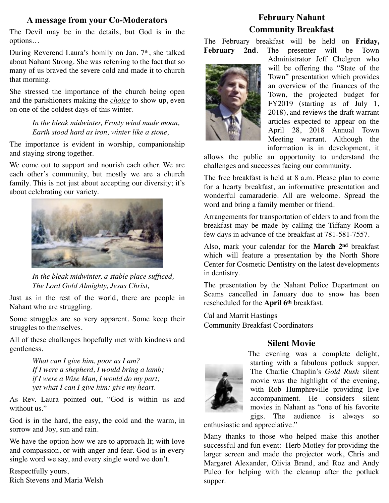# **A message from your Co-Moderators**

The Devil may be in the details, but God is in the options…

During Reverend Laura's homily on Jan. 7<sup>th</sup>, she talked about Nahant Strong. She was referring to the fact that so many of us braved the severe cold and made it to church that morning.

She stressed the importance of the church being open and the parishioners making the *choice* to show up, even on one of the coldest days of this winter.

> *In the bleak midwinter, Frosty wind made moan, Earth stood hard as iron, winter like a stone,*

The importance is evident in worship, companionship and staying strong together.

We come out to support and nourish each other. We are each other's community, but mostly we are a church family. This is not just about accepting our diversity; it's about celebrating our variety.



*In the bleak midwinter, a stable place sufficed, The Lord Gold Almighty, Jesus Christ,*

Just as in the rest of the world, there are people in Nahant who are struggling.

Some struggles are so very apparent. Some keep their struggles to themselves.

All of these challenges hopefully met with kindness and gentleness.

> *What can I give him, poor as I am? If I were a shepherd, I would bring a lamb; if I were a Wise Man, I would do my part; yet what I can I give him: give my heart.*

As Rev. Laura pointed out, "God is within us and without us."

God is in the hard, the easy, the cold and the warm, in sorrow and Joy, sun and rain.

We have the option how we are to approach It; with love and compassion, or with anger and fear. God is in every single word we say, and every single word we don't.

Respectfully yours, Rich Stevens and Maria Welsh

# **February Nahant Community Breakfast**

The February breakfast will be held on **Friday, February 2nd**. The presenter will be Town



Administrator Jeff Chelgren who will be offering the "State of the Town" presentation which provides an overview of the finances of the Town, the projected budget for FY2019 (starting as of July 1, 2018), and reviews the draft warrant articles expected to appear on the April 28, 2018 Annual Town Meeting warrant. Although the information is in development, it

allows the public an opportunity to understand the challenges and successes facing our community.

The free breakfast is held at 8 a.m. Please plan to come for a hearty breakfast, an informative presentation and wonderful camaraderie. All are welcome. Spread the word and bring a family member or friend.

Arrangements for transportation of elders to and from the breakfast may be made by calling the Tiffany Room a few days in advance of the breakfast at 781-581-7557.

Also, mark your calendar for the **March 2nd** breakfast which will feature a presentation by the North Shore Center for Cosmetic Dentistry on the latest developments in dentistry.

The presentation by the Nahant Police Department on Scams cancelled in January due to snow has been rescheduled for the **April 6th** breakfast.

Cal and Marrit Hastings Community Breakfast Coordinators

## **Silent Movie**



The evening was a complete delight, starting with a fabulous potluck supper. The Charlie Chaplin's *Gold Rush* silent movie was the highlight of the evening, with Rob Humphreville providing live accompaniment. He considers silent movies in Nahant as "one of his favorite gigs. The audience is always so enthusiastic and appreciative."

Many thanks to those who helped make this another successful and fun event: Herb Motley for providing the larger screen and made the projector work, Chris and Margaret Alexander, Olivia Brand, and Roz and Andy Puleo for helping with the cleanup after the potluck supper.